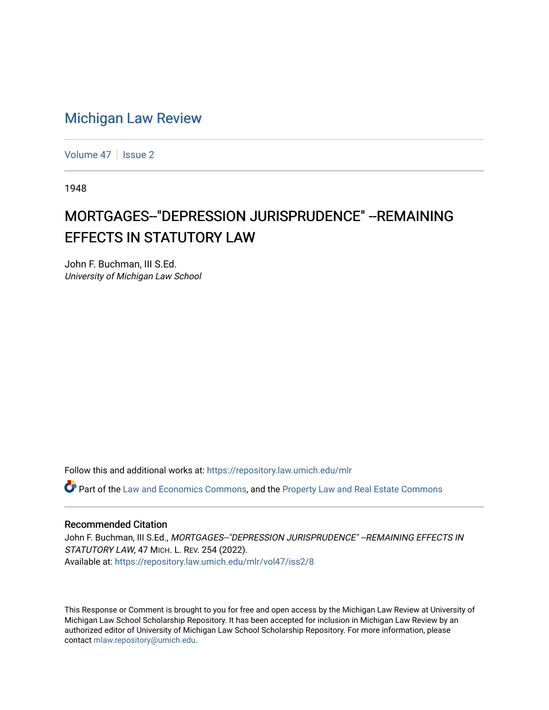## [Michigan Law Review](https://repository.law.umich.edu/mlr)

[Volume 47](https://repository.law.umich.edu/mlr/vol47) | [Issue 2](https://repository.law.umich.edu/mlr/vol47/iss2)

1948

# MORTGAGES--"DEPRESSION JURISPRUDENCE" --REMAINING **EFFECTS IN STATUTORY LAW**

John F. Buchman, III S.Ed. University of Michigan Law School

Follow this and additional works at: [https://repository.law.umich.edu/mlr](https://repository.law.umich.edu/mlr?utm_source=repository.law.umich.edu%2Fmlr%2Fvol47%2Fiss2%2F8&utm_medium=PDF&utm_campaign=PDFCoverPages) 

Part of the [Law and Economics Commons](http://network.bepress.com/hgg/discipline/612?utm_source=repository.law.umich.edu%2Fmlr%2Fvol47%2Fiss2%2F8&utm_medium=PDF&utm_campaign=PDFCoverPages), and the [Property Law and Real Estate Commons](http://network.bepress.com/hgg/discipline/897?utm_source=repository.law.umich.edu%2Fmlr%2Fvol47%2Fiss2%2F8&utm_medium=PDF&utm_campaign=PDFCoverPages) 

### Recommended Citation

John F. Buchman, III S.Ed., MORTGAGES--"DEPRESSION JURISPRUDENCE" -- REMAINING EFFECTS IN STATUTORY LAW, 47 MICH. L. REV. 254 (2022). Available at: [https://repository.law.umich.edu/mlr/vol47/iss2/8](https://repository.law.umich.edu/mlr/vol47/iss2/8?utm_source=repository.law.umich.edu%2Fmlr%2Fvol47%2Fiss2%2F8&utm_medium=PDF&utm_campaign=PDFCoverPages)

This Response or Comment is brought to you for free and open access by the Michigan Law Review at University of Michigan Law School Scholarship Repository. It has been accepted for inclusion in Michigan Law Review by an authorized editor of University of Michigan Law School Scholarship Repository. For more information, please contact [mlaw.repository@umich.edu](mailto:mlaw.repository@umich.edu).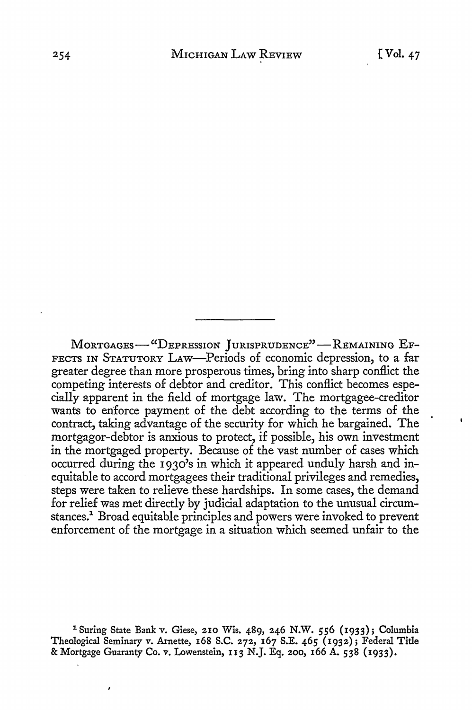MORTGAGES-"DEPRESSION JURISPRUDENCE"-REMAINING EF-FECTS IN STATUTORY LAw-Periods of economic depression, to a far greater degree than more prosperous times, bring into sharp conflict the competing interests of debtor and creditor. This conflict becomes especially apparent in the field of mortgage law. The mortgagee-creditor wants to enforce payment of the debt according to the terms of the contract, taking advantage of the security for which he bargained. The mortgagor-debtor is anxious to protect, if possible, his own investment in the mortgaged property. Because of the vast number of cases which occurred during the 193o's in which it appeared unduly harsh and inequitable to accord mortgagees their traditional privileges and remedies, steps were taken to relieve these hardships. In some cases, the demand for relief was met directly by judicial adaptation to the unusual circumstances.1 Broad equitable principles and powers were invoked to prevent enforcement of the mortgage in a situation which seemed unfair to the

1 Suring State Bank v. Giese, 210 Wis. 489, 246 N.W. 556 (1933); Columbia Theological Seminary v. Arnette, 168 S.C. 272, 167 S.E. 465 (1932); Federal Title & Mortgage Guaranty Co. v. Lowenstein, 113 N.J. Eq. 200, 166 A. 538 (1933).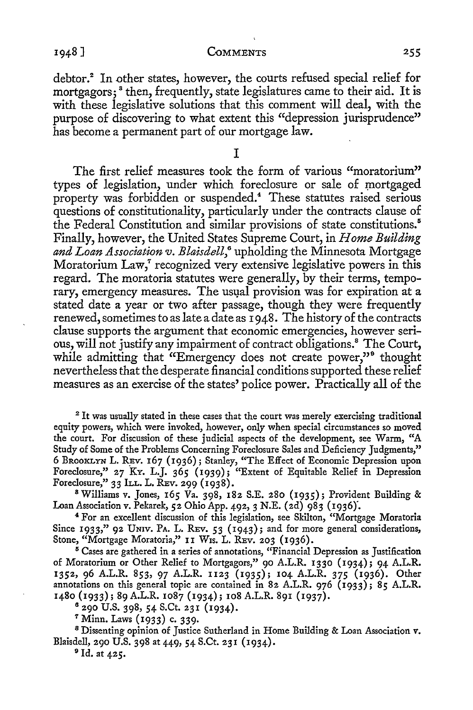debtor.<sup>2</sup> In other states, however, the courts refused special relief for mortgagors;<sup>8</sup> then, frequently, state legislatures came to their aid. It is with these legislative solutions that this comment will deal, with the purpose of discovering to what extent this "depression jurisprudence" has become a permanent part of our mortgage law.

I

The first relief measures took the form of various "moratorium" types of legislation, under which foreclosure or sale of mortgaged property was forbidden or suspended.4 These statutes raised serious questions of constitutionality, particularly under the contracts clause of the Federal Constitution and similar provisions of state constitutions.<sup>5</sup> Finally, however, the United States Supreme Court, in *Home Building and Loan Association v. Blaisdell,6* upholding the Minnesota Mortgage Moratorium Law,<sup>7</sup> recognized very extensive legislative powers in this regard. The moratoria statutes were generally, by their terms, temporary, emergency measures. The usual provision was for expiration at a stated date a year or two after passage, though they were frequently renewed, sometimes to as late a date as 1948. The history of the contracts clause supports the argument that economic emergencies, however serious, will not justify any impairment of contract obligations.<sup>8</sup> The Court, while admitting that "Emergency does not create power,"<sup>9</sup> thought nevertheless that the desperate financial conditions supported these relief measures as an exercise of the states' police power. Practically all of the

<sup>2</sup> It was usually stated in these cases that the court was merely exercising traditional equity powers, which were invoked, however, only when special circumstances so moved the court. For discussion of these judicial aspects of the development, see Warm, "A Study of Some of the Problems Concerning Foreclosure Sales and Deficiency Judgments," 6 BROOKLYN L. REV. 167 (1936); Stanley, "The Effect of Economic Depression upon Foreclosure," 27 KY. L.J. 365 ( 1939); "Extent of Equitable Relief in Depression Foreclosure," 33 ILL. L. REV. 299 (1938).

<sup>8</sup>Williams *v.* Jones, 165 Va. 398, 182 S.E. 280 (1935); Provident Building & Loan Association v. Pekarek, 52 Ohio App. 492, 3 N.E. (2d) 983 (1936).

<sup>4</sup>For an excellent discussion of this legislation, see Skilton, "Mortgage Moratoria Since 1933," 92 UNIV. PA. L. REV. 53 (1943); and for more general considerations, Stone, "Mortgage Moratoria," II Wis. L. REV. 203 (1936).

 $5$  Cases are gathered in a series of annotations, "Financial Depression as Justification of Moratorium or Other Relief to Mortgagors," 90 A.L.R. 1330 (1934); 94 A.L.R. 1352, 96 A.L.R. 853, 97 A.L.R. 1123 (1935); 104 A.L.R. 375 (1936). Other annotations on this general topic are contained in 82 A.L.R. 976 (1933); 85 A.L.R. 1480 (1933); 89 A.L.R. 1087 (1934); 108 A.L.R. 891 (1937).

8 290 U.S. 398, 54 S.Ct. 231 (1934).

7 Minn. Laws (1933) c. 339.

<sup>8</sup>Dissenting opinion of Justice Sutherland in Home Building & Loan Association *v.*  Blaisdell, 290 U.S. 398 at 449, 54 S.Ct. 231 (1934).

9 Id. at 425.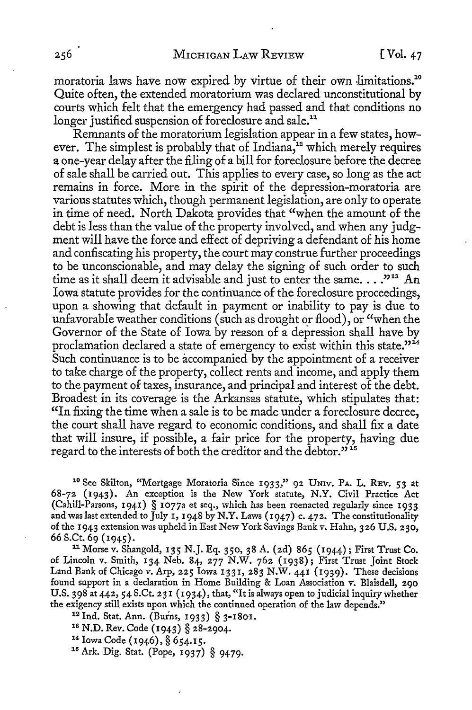moratoria laws have now expired by virtue of their own limitations.<sup>10</sup> Quite often, the extended moratorium was declared unconstitutional by courts which felt that the emergency had passed and that conditions no longer justified suspension of foreclosure and sale.<sup>11</sup>

Remnants of the moratorium legislation appear in a few states, however. The simplest is probably that of Indiana, $12$  which merely requires a one-year delay after the filing of a bill for foreclosure before the decree of sale shall be carried out. This applies to every case, so long as the act remains in force. More in the spirit of the depression-moratoria are various statutes which, though permanent legislation, are only to operate in time of need. North Dakota provides that "when the amount of the debt is less than the value of the property involved, and when any judgment will have the force and effect of depriving a defendant of his home and confiscating his property, the court may construe further proceedings to be unconscionable, and may delay the signing of such order to such time as it shall deem it advisable and just to enter the same...."<sup>313</sup> An Iowa statute provides for the continuance of the foreclosure proceedings, upon a showing that default in payment or inability to pay is due to unfavorable weather conditions ( such as drought or flood), or "when the Governor of the State of Iowa by reason of a depression shall have by proclamation declared a state of emergency to exist within this state."<sup>14</sup> Such continuance is to be accompanied by the appointment of a receiver to take charge of the property, collect rents and income, and apply them to the payment of taxes, insurance, and principal and interest of the debt. Broadest in its coverage is the Arkansas statute, which stipulates that: "In fixing the time when a sale is to be made under a foreclosure decree, the court shall have regard to economic conditions, and shall fix a date that will insure, if possible, a fair price for the property, having due regard to the interests of both the creditor and the debtor."<sup>15</sup>

10 See Skilton, "Mortgage Moratoria Since 1933," 92 UNiv. PA. L. REV. 53 at 68-72 (1943). An exception is the New York statute, N.Y. Civil Practice Act (Cahill-Parsons, 1941) § 1077a et seq., which has been reenacted regularly since 1933 and was last extended to July 1, 1948 by N.Y. Laws (1947) c. 472. The constitutionality of the 1943 extension was upheld in East New York Savings Bank v. Hahn, 326 U.S. 230,

66 S.Ct. 69 (1945). <sup>11</sup>Morse v. Shangold, 135 N.J. Eq. 350, 38 A. (2d) 865 (1944); First Trust Co. of Lincoln v. Smith, 134 Neb. 84, 277 N.W. 762 (1938); First Trust Joint Stock Land Bank of Chicago v. Arp, 225 Iowa 1331, 283 N.W. 441 (1939). These decisions found support in a declaration in Home Building & Loan Association *v.* Blaisdell, 290 U.S. 398 at 442, 54 S.Ct. 23 I (1934), that, "It is always open to judicial inquiry whether the exigency still exists upon which the continued operation of the law depends."<br>
<sup>12</sup> Ind. Stat. Ann. (Burns, 1933) § 3-1801.<br>
<sup>18</sup> N.D. Rev. Code (1943) § 28-2904.<br>
<sup>14</sup> Iowa Code (1946), § 654.15.<br>
<sup>15</sup> Ark. Dig. Stat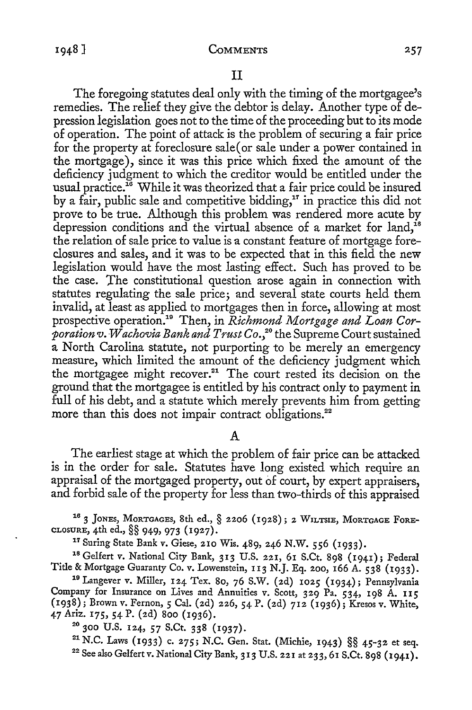II

The foregoing statutes deal only with the timing of the mortgagee's remedies. The relief they give the debtor is delay. Another type of depression legislation goes not to the time of the proceeding but to its mode of operation. The point of attack is the problem of securing a fair price for the property at foreclosure sale( or sale under a power contained in the mortgage), since it was this price which fixed the amount of the deficiency judgment to which the creditor would be entitled under the usual practice.<sup>16</sup> While it was theorized that a fair price could be insured by a fair, public sale and competitive bidding,<sup>17</sup> in practice this did not prove to be true. Although this problem was rendered more acute by depression conditions and the virtual absence of a market for land,  $^{18}$ the relation of sale price to value is a constant feature of mortgage foreclosures and sales, and it was to be expected that in this field the new legislation would have the most lasting effect. Such has proved to be the case. The constitutional question arose again in connection with statutes regulating the sale price; and several state courts held them invalid, at least as applied to mortgages then in force, allowing at most prospective operation.19 Then, in *Richmond Mortgage and Loan Corporation v. Wachovia Bank and Trust Co.,* 20 the Supreme Court sustained a North Carolina statute, not purporting to be merely an emergency measure, which limited the amount of the deficiency judgment which the mortgagee might recover.<sup>21</sup> The court rested its decision on the ground that the mortgagee is entitled by his contract only to payment in full of his debt, and a statute which merely prevents him from getting more than this does not impair contract obligations.<sup>22</sup>

#### A

The earliest stage at which the problem of fair price can be attacked is in the order for sale. Statutes have long existed which require an appraisal of the mortgaged property, out of court, by expert appraisers, and forbid sale of the property for less than two-thirds of this appraised

<sup>16</sup> 3 JONES, MORTGAGES, 8th ed.,  $\S$  2206 (1928); 2 WILTSIE, MORTGAGE FORE-CLOSURE, 4th ed.,  $\S$  $\S$  949, 973 (1927).

<sup>17</sup> Suring State Bank v. Giese, 210 Wis. 489, 246 N.W. 556 (1933).<br><sup>18</sup> Gelfert v. National City Bank, 313 U.S. 221, 61 S.Ct. 898 (1941); Federal<br>Title & Mortgage Guaranty Co. v. Lowenstein, 113 N.J. Eq. 200, 166 A. 538 (

19 Langever v. Miller, 124 Tex. 80, 76 S.W. (2d) 1025 (1934); Pennsylvania Company for Insurance on Lives and Annuities v. Scott, 329 Pa. 534, 198 A. II5 (1938); Brown v. Fernan, *5* Cal. (2d) 226, 54 P. (2d) 712 (1936); Kresos v. White,

<sup>20</sup> 300 U.S. 124, 57 S.Ct. 338 (1937).<br><sup>21</sup> N.C. Laws (1933) c. 275; N.C. Gen. Stat. (Michie, 1943) §§ 45-32 et seq.<br><sup>22</sup> See also Gelfert v. National City Bank, 313 U.S. 221 at 233, 61 S.Ct. 898 (1941).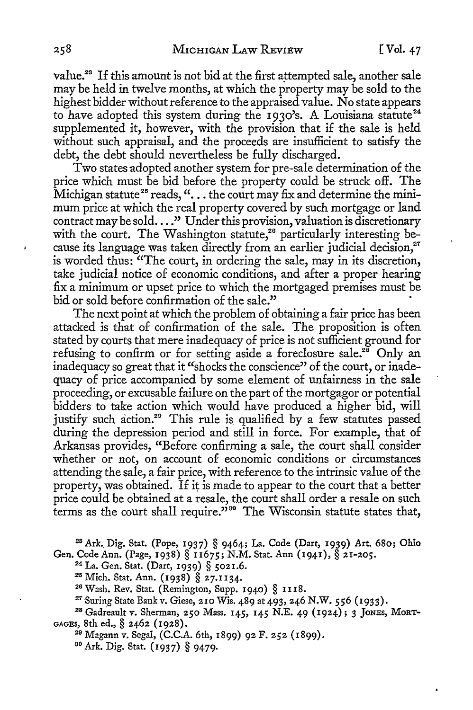value.<sup>23</sup> If this amount is not bid at the first attempted sale, another sale may be held in twelve months, at which the property may be sold to the highest bidder without reference to the appraised value. No state appears to have adopted this system during the 1930's. A Louisiana statute<sup>24</sup> supplemented it, however, with the provision that if the sale is held without such appraisal, and the proceeds are insufficient to satisfy the debt, the debt should nevertheless be fully discharged.

Two states adopted another system for pre-sale determination of the price which must be bid before the property could be struck off. The Michigan statute<sup>25</sup> reads, " $\dots$  the court may fix and determine the minimum price at which the real property covered by such mortgage or land contract may be sold...." Under this provision, valuation is discretionary with the court. The Washington statute,<sup>26</sup> particularly interesting because its language was taken directly from an earlier judicial decision.<sup>27</sup> is worded thus: "The court, in ordering the sale, may in its discretion, take judicial notice of economic conditions, and after a proper hearing fix a minimum or upset price to which the mortgaged premises must be bid or sold before confirmation of the sale."

The next point at which the problem of obtaining a fair price has been attacked is that of confirmation of the sale. The proposition is often stated by courts that mere inadequacy of price is not sufficient ground for refusing to confirm or for setting aside a foreclosure sale.<sup>28</sup> Only an inadequacy so great that it "shocks the conscience" of the court, or inadequacy of price accompanied by some element of unfairness in the sale proceeding, or excusable failure on the part of the mortgagor or potential bidders to take action which would have produced a higher bid, will justify such action.<sup>29</sup> This rule is qualified by a few statutes passed during the depression period and still in force. For example, that of Arkansas provides, "Before confirming a sale, the court shall consider whether or not, on account of economic conditions or circumstances attending the sale, a fair price, with reference to the intrinsic value of the property, was obtained. If it is made to appear to the court that a better price could be obtained at a resale, the court shall order a resale on such terms as the court shall require.<sup> $\dot{v}$ so The Wisconsin statute states that,</sup>

<sup>28</sup> Ark. Dig. Stat. (Pope, 1937) § 9464; La. Code (Dart, 1939) Art. 680; Ohio

Gen. Code Ann. (Page, 1938) § 11675; N.M. Stat. Ann (1941), § 21-205.<br><sup>24</sup> La. Gen. Stat. (Dart, 1939) § 5021.6.<br><sup>25</sup> Mich. Stat. Ann. (1938) § 27.1134.<br><sup>26</sup> Wash. Rev. Stat. (Remington, Supp. 1940) § 1118.<br><sup>27</sup> Suring St

<sup>28</sup> Gadreault v. Sherman, 250 Mass. 145, 145 N.E. 49 (1924); 3 JONES, MORT-GAGES, 8th ed., § 2462 (1928). 29 Magann *v.* Segal, (C.C.A. 6th, 1899) 92 F. 252 (1899).

80 Ark. Dig. Stat. (1937) § 9479.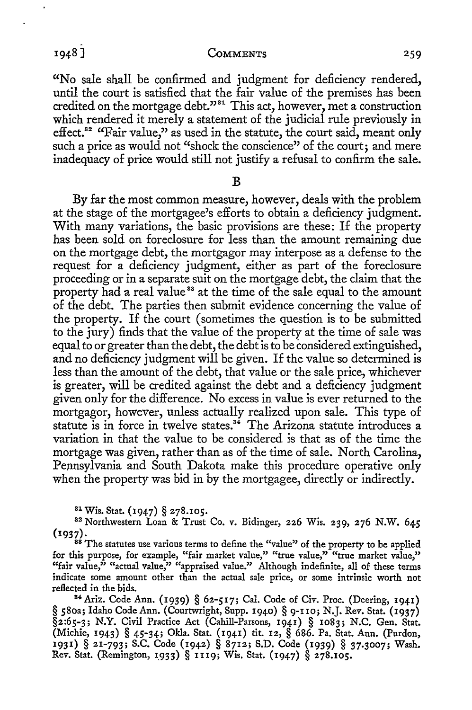CoMMENTS 259

**"No** sale shall be confirmed and judgment for deficiency rendered, until the court is satisfied that the fair value of the premises has been credited on the mortgage debt."<sup>31</sup> This act, however, met a construction which rendered it merely a statement of the judicial rule previously in effect.<sup>82</sup> "Fair value," as used in the statute, the court said, meant only such a price as would not "shock the conscience" of the court; and mere inadequacy of price would still not justify a refusal to confirm the sale.

**B** 

By far the most common measure, however, deals with the problem at the stage of the mortgagee's efforts to obtain a deficiency judgment. With many variations, the basic provisions are these: If the property has been sold on foreclosure for less than the amount remaining due on the mortgage debt, the mortgagor may interpose as a defense to the request for a deficiency judgment, either as part of the foreclosure proceeding or in a separate suit on the mortgage debt, the claim that the property had a real value<sup>38</sup> at the time of the sale equal to the amount of the debt. The parties then submit evidence concerning the value of the property. If the court ( sometimes the question is to be submitted to the jury) finds that the value of the property at the time of sale was equal to or greater than the debt, the debt is to be considered extinguished, and no deficiency judgment will be given. If the value so determined is less than the amount of the debt, that value or the sale price, whichever is greater, will be credited against the debt and a deficiency judgment given only for the difference. No excess in value is ever returned to the mortgagor, however, unless actually realized upon sale. This type of statute is in force in twelve states.<sup>34</sup> The Arizona statute introduces a variation in that the value to be considered is that as of the time the mortgage was given, rather than as of the time of sale. North Carolina, Pennsylvania and South Dakota make this procedure operative only when the property was bid in by the mortgagee, directly or indirectly.

<sup>81</sup> Wis. Stat. (1947) § 278.105.<br><sup>82</sup> Northwestern Loan & Trust Co. v. Bidinger, 226 Wis. 239, 276 N.W. 645 (1937). 88 The statutes use various terms to define the "value" of the property to be applied

for this purpose, for example, "fair market value," "true value," "true market value," "fair value," "actual value," "appraised value." Although indefinite, all of these terms indicate some amount other than the actual sale price, or some intrinsic worth not reflected in the bids.

<sup>84</sup>Ariz. Code Ann. (1939) § 62-517; Cal. Code of Civ. Proc. (Deering, 1941) § 580a; Idaho Code Ann. (Courtwright, Supp. 1940) § 9-IIo; N.J. Rev. Stat. (1937) §2:65-3; N.Y. Civil Practice Act (Cahill-Parsons, 1941) § 1083; N.C. Gen. Stat. (Michie, 1943) § 45-34; Okla. Stat. (1941) tit. 12, § 686. Pa. Stat. Ann. (Purdon, 1931) § 21-793; S.C. Code (1942) § 8712; S.D. Code (1939) § 37.3007; Wash. *Rev.* Stat. (Remington, 1\_933) § 1u9; Wis. Stat. (1947) § 278.105.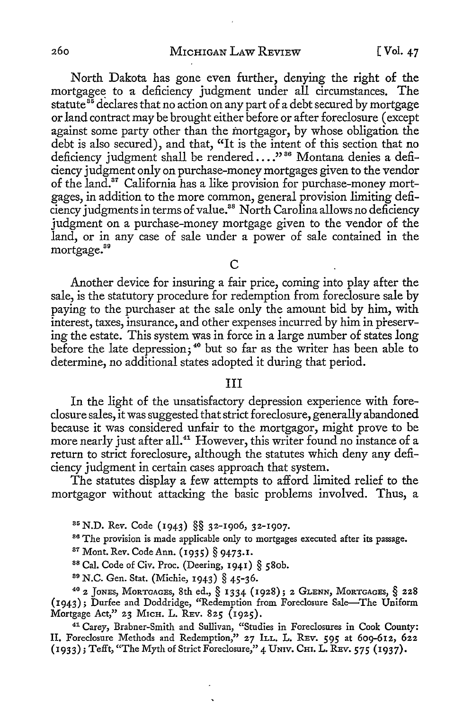North Dakota has gone even further, denying the right of the mortgagee to a deficiency judgment under all circumstances. The statute<sup>35</sup> declares that no action on any part of a debt secured by mortgage or land contract may be brought either before or after foreclosure ( except against some party other than the mortgagor, by whose obligation the debt is also secured), and that, "It is the intent of this section that no deficiency judgment shall be rendered ...."<sup>36</sup> Montana denies a deficiency judgment only on purchase-money mortgages given to the vendor of the land.37 California has a like provision for purchase-money mortgages, in addition *to* the more common, general provision limiting deficiency judgments in terms of value. 38 North Carolina allows no deficiency judgment on a purchase-money mortgage given to the vendor of the land, or in any case of sale under a power of sale contained in the mortgage.<sup>89</sup>

 $\mathcal{C}$ 

Another device for insuring a fair price, coming into play after the sale, is the statutory procedure for redemption from foreclosure sale by paying *to* the purchaser at the sale only the amount bid by him, with interest, taxes, insurance, and other expenses incurred by him in preserving the estate. This system was in force in a large number of states long before the late depression;<sup>40</sup> but so far as the writer has been able to determine, no additional states adopted it during that period.

#### III

In the light of the unsatisfactory depression experience with foreclosure sales, it was suggested that strict foreclosure, generally abandoned because it was considered unfair *to* the mortgagor, might prove *to* be more nearly just after all.<sup>41</sup> However, this writer found no instance of a return to strict foreclosure, although the statutes which deny any deficiency judgment in certain cases approach that system.

The statutes display a few attempts *to* afford limited relief to the mortgagor without attacking the basic problems involved. Thus, a

<sup>85</sup> N.D. Rev. Code (1943) §§ 32-1906, 32-1907.<br><sup>86</sup> The provision is made applicable only to mortgages executed after its passage.

87 Mont. Rev. Code Ann. (1935) § 9473.1.<br><sup>88</sup> Cal. Code of Civ. Proc. (Deering, 1941) § 580b.<br><sup>89</sup> N.C. Gen. Stat. (Michie, 1943) § 45-36.<br><sup>40</sup> 2 Jones, Morrgages, 8th ed., § 1334 (1928); 2 GLENN, Morrgages, § 228 (1943); Durfee and Doddridge, "Redemption from Foreclosure Sale-The Uniform<br>Mortgage Act," 23 Mich. L. REv. 825 (1925).

<sup>41</sup> Carey, Brabner-Smith and Sullivan, "Studies in Foreclosures in Cook County: II. Foreclosure Methods and Redemption," 27 ILL. L. REV. 595 at 609-612, 622 (1933); Tefft, "The Myth of Strict Foreclosure," 4 UNiv. CHI. L. REV. *575* (1937).